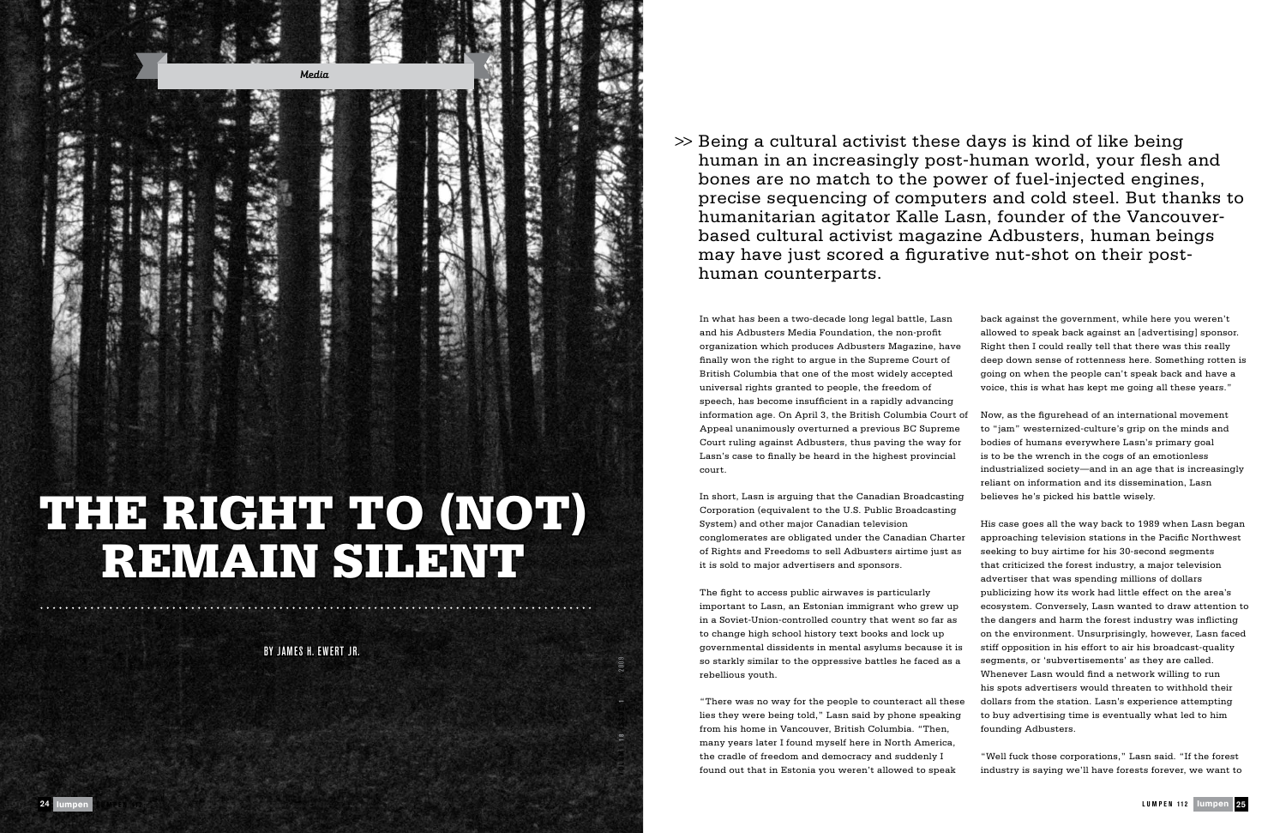In what has been a two-decade long legal battle, Lasn and his Adbusters Media Foundation, the non-profit organization which produces Adbusters Magazine, h finally won the right to argue in the Supreme Court of British Columbia that one of the most widely accepte universal rights granted to people, the freedom of speech, has become insufficient in a rapidly advancing information age. On April 3, the British Columbia Cou Appeal unanimously overturned a previous BC Suprem Court ruling against Adbusters, thus paving the way Lasn's case to finally be heard in the highest provinci court.

In short, Lasn is arguing that the Canadian Broadcast Corporation (equivalent to the U.S. Public Broadcasting System) and other major Canadian television conglomerates are obligated under the Canadian Cha of Rights and Freedoms to sell Adbusters airtime just it is sold to major advertisers and sponsors.

"There was no way for the people to counteract all the lies they were being told," Lasn said by phone speak from his home in Vancouver, British Columbia. "Then, many years later I found myself here in North Americ the cradle of freedom and democracy and suddenly I found out that in Estonia you weren't allowed to speak

The fight to access public airwaves is particularly important to Lasn, an Estonian immigrant who grew in a Soviet-Union-controlled country that went so far to change high school history text books and lock up governmental dissidents in mental asylums because so starkly similar to the oppressive battles he faced a rebellious youth.

| 'n     | back against the government, while here you weren't         |
|--------|-------------------------------------------------------------|
|        | allowed to speak back against an [advertising] sponsor.     |
| ave    | Right then I could really tell that there was this really   |
| ١f     | deep down sense of rottenness here. Something rotten is     |
| ьd     | going on when the people can't speak back and have a        |
|        | voice, this is what has kept me going all these years."     |
| ıg     |                                                             |
| ırt of | Now, as the figurehead of an international movement         |
| me     | to "jam" westernized-culture's grip on the minds and        |
| for :  | bodies of humans everywhere Lasn's primary goal             |
| ial    | is to be the wrench in the cogs of an emotionless           |
|        | industrialized society—and in an age that is increasingly   |
|        | reliant on information and its dissemination, Lasn          |
| ting   | believes he's picked his battle wisely.                     |
| ng     |                                                             |
|        | His case goes all the way back to 1989 when Lasn began      |
| arter  | approaching television stations in the Pacific Northwest    |
| t as   | seeking to buy airtime for his 30-second segments           |
|        | that criticized the forest industry, a major television     |
|        | advertiser that was spending millions of dollars            |
|        | publicizing how its work had little effect on the area's    |
| up     | ecosystem. Conversely, Lasn wanted to draw attention to     |
| as     | the dangers and harm the forest industry was inflicting     |
|        | on the environment. Unsurprisingly, however, Lasn faced     |
| it is  | stiff opposition in his effort to air his broadcast-quality |
| ıs a   | segments, or 'subvertisements' as they are called.          |
|        | Whenever Lasn would find a network willing to run           |
|        | his spots advertisers would threaten to withhold their      |
| nese   | dollars from the station. Lasn's experience attempting      |
| ing    | to buy advertising time is eventually what led to him       |
| L,     | founding Adbusters.                                         |
| :а,    |                                                             |
|        | "Well fuck those corporations," Lasn said. "If the forest   |
| ak     | industry is saying we'll have forests forever, we want to   |



## THE RIGHT TO (NOT) REMAIN SILENTE

human in an increasingly post-human world, your flesh and bones are no match to the power of fuel-injected engines, precise sequencing of computers and cold steel. But thanks to humanitarian agitator Kalle Lasn, founder of the Vancouverbased cultural activist magazine Adbusters, human beings

Being a cultural activist these days is kind of like being *>>* may have just scored a figurative nut-shot on their posthuman counterparts.

BY James H. Ewert Jr.

**VOL UME 1 8 I S S UE 1** J U NE 2009